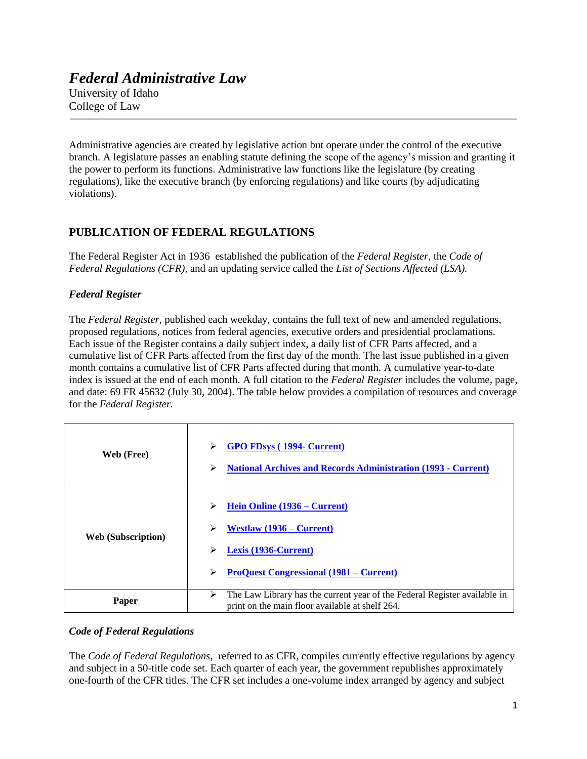# *Federal Administrative Law*

University of Idaho College of Law

j

Administrative agencies are created by legislative action but operate under the control of the executive branch. A legislature passes an enabling statute defining the scope of the agency's mission and granting it the power to perform its functions. Administrative law functions like the legislature (by creating regulations), like the executive branch (by enforcing regulations) and like courts (by adjudicating violations).

# **PUBLICATION OF FEDERAL REGULATIONS**

The Federal Register Act in 1936 established the publication of the *Federal Register*, the *Code of Federal Regulations (CFR),* and an updating service called the *List of Sections Affected (LSA).*

## *Federal Register*

The *Federal Register*, published each weekday, contains the full text of new and amended regulations, proposed regulations, notices from federal agencies, executive orders and presidential proclamations. Each issue of the Register contains a daily subject index, a daily list of CFR Parts affected, and a cumulative list of CFR Parts affected from the first day of the month. The last issue published in a given month contains a cumulative list of CFR Parts affected during that month. A cumulative year-to-date index is issued at the end of each month. A full citation to the *Federal Register* includes the volume, page, and date: 69 FR 45632 (July 30, 2004). The table below provides a compilation of resources and coverage for the *Federal Register.*

| Web (Free)                | ⋗<br><b>GPO FDsys (1994- Current)</b><br><b>National Archives and Records Administration (1993 - Current)</b><br>⋗                                       |
|---------------------------|----------------------------------------------------------------------------------------------------------------------------------------------------------|
| <b>Web</b> (Subscription) | Hein Online (1936 – Current)<br>⋗<br>Westlaw $(1936 - Current)$<br>➤<br>Lexis (1936-Current)<br>➤<br><b>ProQuest Congressional (1981 – Current)</b><br>⋗ |
| Paper                     | The Law Library has the current year of the Federal Register available in<br>➤<br>print on the main floor available at shelf 264.                        |

## *Code of Federal Regulations*

The *Code of Federal Regulations*, referred to as CFR, compiles currently effective regulations by agency and subject in a 50-title code set. Each quarter of each year, the government republishes approximately one-fourth of the CFR titles. The CFR set includes a one-volume index arranged by agency and subject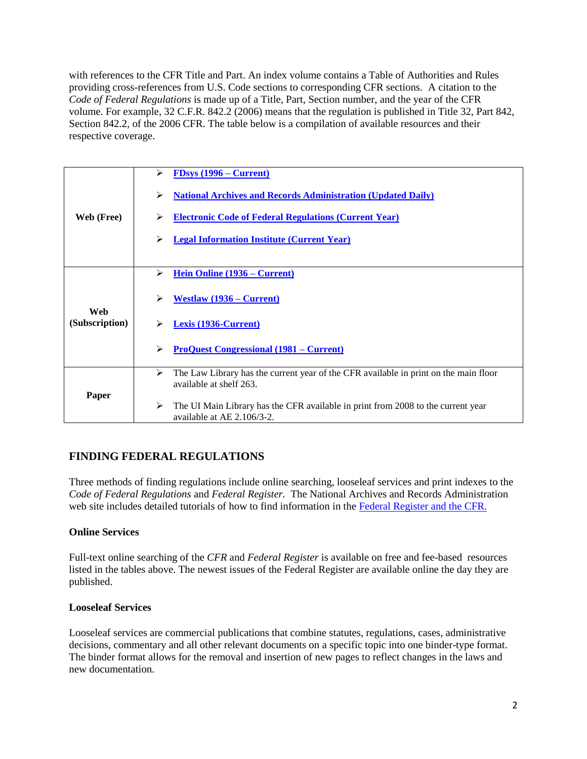with references to the CFR Title and Part. An index volume contains a Table of Authorities and Rules providing cross-references from U.S. Code sections to corresponding CFR sections. A citation to the *Code of Federal Regulations* is made up of a Title, Part, Section number, and the year of the CFR volume. For example, 32 C.F.R. 842.2 (2006) means that the regulation is published in Title 32, Part 842, Section 842.2, of the 2006 CFR. The table below is a compilation of available resources and their respective coverage.

| Web (Free)            | $FDSys$ (1996 – Current)<br>⋗<br>➤<br><b>National Archives and Records Administration (Updated Daily)</b><br><b>Electronic Code of Federal Regulations (Current Year)</b><br>⋗<br><b>Legal Information Institute (Current Year)</b><br>≻ |
|-----------------------|------------------------------------------------------------------------------------------------------------------------------------------------------------------------------------------------------------------------------------------|
| Web<br>(Subscription) | Hein Online (1936 – Current)<br>⋗                                                                                                                                                                                                        |
|                       | ⋗<br>Westlaw $(1936 - Current)$                                                                                                                                                                                                          |
|                       | Lexis (1936-Current)                                                                                                                                                                                                                     |
|                       | <b>ProQuest Congressional (1981 – Current)</b><br>⋗                                                                                                                                                                                      |
| Paper                 | The Law Library has the current year of the CFR available in print on the main floor<br>➤<br>available at shelf 263.                                                                                                                     |
|                       | ➤<br>The UI Main Library has the CFR available in print from 2008 to the current year<br>available at AE 2.106/3-2.                                                                                                                      |

# **FINDING FEDERAL REGULATIONS**

Three methods of finding regulations include online searching, looseleaf services and print indexes to the *Code of Federal Regulations* and *Federal Register.* The National Archives and Records Administration web site includes detailed tutorials of how to find information in the Federal Register and the CFR.

## **Online Services**

Full-text online searching of the *CFR* and *Federal Register* is available on free and fee-based resources listed in the tables above. The newest issues of the Federal Register are available online the day they are published.

#### **Looseleaf Services**

Looseleaf services are commercial publications that combine statutes, regulations, cases, administrative decisions, commentary and all other relevant documents on a specific topic into one binder-type format. The binder format allows for the removal and insertion of new pages to reflect changes in the laws and new documentation.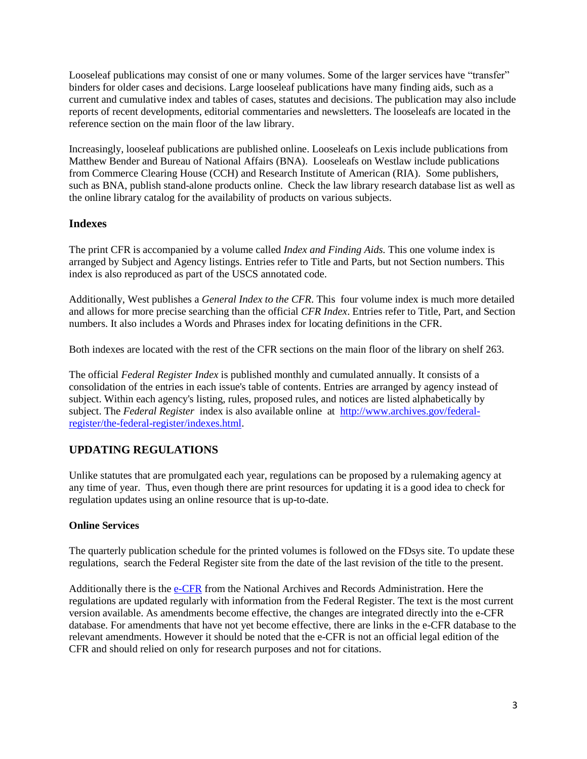Looseleaf publications may consist of one or many volumes. Some of the larger services have "transfer" binders for older cases and decisions. Large looseleaf publications have many finding aids, such as a current and cumulative index and tables of cases, statutes and decisions. The publication may also include reports of recent developments, editorial commentaries and newsletters. The looseleafs are located in the reference section on the main floor of the law library.

Increasingly, looseleaf publications are published online. Looseleafs on Lexis include publications from Matthew Bender and Bureau of National Affairs (BNA). Looseleafs on Westlaw include publications from Commerce Clearing House (CCH) and Research Institute of American (RIA). Some publishers, such as BNA, publish stand-alone products online. Check the law library research database list as well as the online library catalog for the availability of products on various subjects.

## **Indexes**

The print CFR is accompanied by a volume called *Index and Finding Aids.* This one volume index is arranged by Subject and Agency listings. Entries refer to Title and Parts, but not Section numbers. This index is also reproduced as part of the USCS annotated code.

Additionally, West publishes a *General Index to the CFR*. This four volume index is much more detailed and allows for more precise searching than the official *CFR Index*. Entries refer to Title, Part, and Section numbers. It also includes a Words and Phrases index for locating definitions in the CFR.

Both indexes are located with the rest of the CFR sections on the main floor of the library on shelf 263.

The official *Federal Register Index* is published monthly and cumulated annually. It consists of a consolidation of the entries in each issue's table of contents. Entries are arranged by agency instead of subject. Within each agency's listing, rules, proposed rules, and notices are listed alphabetically by subject. The *Federal Register* index is also available online at [http://www.archives.gov/federal](http://www.archives.gov/federal-register/the-federal-register/indexes.html)[register/the-federal-register/indexes.html.](http://www.archives.gov/federal-register/the-federal-register/indexes.html)

## **UPDATING REGULATIONS**

Unlike statutes that are promulgated each year, regulations can be proposed by a rulemaking agency at any time of year. Thus, even though there are print resources for updating it is a good idea to check for regulation updates using an online resource that is up-to-date.

#### **Online Services**

The quarterly publication schedule for the printed volumes is followed on the FDsys site. To update these regulations, search the Federal Register site from the date of the last revision of the title to the present.

Additionally there is the [e-CFR](http://www.gpoaccess.gov/ecfr/) from the National Archives and Records Administration. Here the regulations are updated regularly with information from the Federal Register. The text is the most current version available. As amendments become effective, the changes are integrated directly into the e-CFR database. For amendments that have not yet become effective, there are links in the e-CFR database to the relevant amendments. However it should be noted that the e-CFR is not an official legal edition of the CFR and should relied on only for research purposes and not for citations.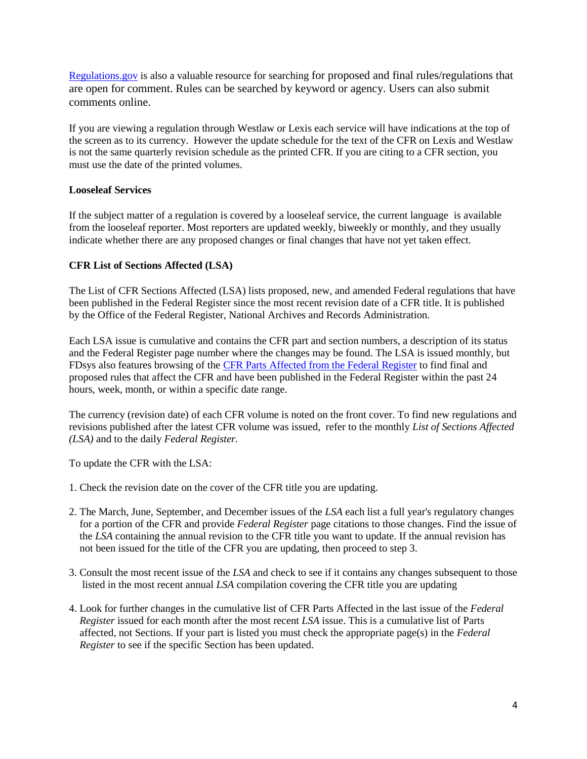[Regulations.gov](http://www.regulations.gov/#!home) is also a valuable resource for searching for proposed and final rules/regulations that are open for comment. Rules can be searched by keyword or agency. Users can also submit comments online.

If you are viewing a regulation through Westlaw or Lexis each service will have indications at the top of the screen as to its currency. However the update schedule for the text of the CFR on Lexis and Westlaw is not the same quarterly revision schedule as the printed CFR. If you are citing to a CFR section, you must use the date of the printed volumes.

#### **Looseleaf Services**

If the subject matter of a regulation is covered by a looseleaf service, the current language is available from the looseleaf reporter. Most reporters are updated weekly, biweekly or monthly, and they usually indicate whether there are any proposed changes or final changes that have not yet taken effect.

#### **CFR List of Sections Affected (LSA)**

The List of CFR Sections Affected (LSA) lists proposed, new, and amended Federal regulations that have been published in the Federal Register since the most recent revision date of a CFR title. It is published by the Office of the Federal Register, National Archives and Records Administration.

Each LSA issue is cumulative and contains the CFR part and section numbers, a description of its status and the Federal Register page number where the changes may be found. The LSA is issued monthly, but FDsys also features browsing of the [CFR Parts Affected from the Federal Register](http://www.gpo.gov/fdsys/browse/collectionCfrFR.action?collectionCode=CFRPARTS) to find final and proposed rules that affect the CFR and have been published in the Federal Register within the past 24 hours, week, month, or within a specific date range.

The currency (revision date) of each CFR volume is noted on the front cover. To find new regulations and revisions published after the latest CFR volume was issued, refer to the monthly *List of Sections Affected (LSA)* and to the daily *Federal Register.*

To update the CFR with the LSA:

- 1. Check the revision date on the cover of the CFR title you are updating.
- 2. The March, June, September, and December issues of the *LSA* each list a full year's regulatory changes for a portion of the CFR and provide *Federal Register* page citations to those changes. Find the issue of the *LSA* containing the annual revision to the CFR title you want to update. If the annual revision has not been issued for the title of the CFR you are updating, then proceed to step 3.
- 3. Consult the most recent issue of the *LSA* and check to see if it contains any changes subsequent to those listed in the most recent annual *LSA* compilation covering the CFR title you are updating
- 4. Look for further changes in the cumulative list of CFR Parts Affected in the last issue of the *Federal Register* issued for each month after the most recent *LSA* issue. This is a cumulative list of Parts affected, not Sections. If your part is listed you must check the appropriate page(s) in the *Federal Register* to see if the specific Section has been updated.